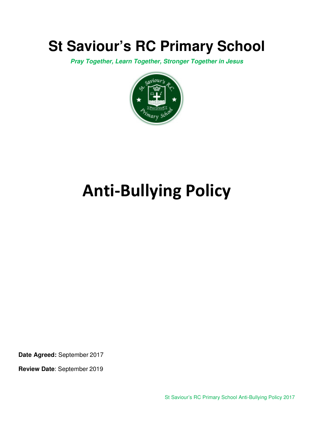## **St Saviour's RC Primary School**

**Pray Together, Learn Together, Stronger Together in Jesus** 



# **Anti-Bullying Policy**

**Date Agreed:** September 2017

**Review Date**: September 2019

St Saviour's RC Primary School Anti-Bullying Policy 2017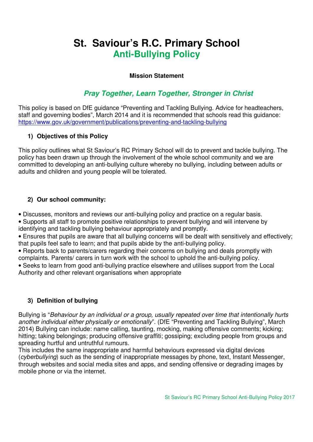### **St. Saviour's R.C. Primary School Anti-Bullying Policy**

#### **Mission Statement**

#### **Pray Together, Learn Together, Stronger in Christ**

This policy is based on DfE guidance "Preventing and Tackling Bullying. Advice for headteachers, staff and governing bodies", March 2014 and it is recommended that schools read this guidance: https://www.gov.uk/government/publications/preventing-and-tackling-bullying

#### **1) Objectives of this Policy**

This policy outlines what St Saviour's RC Primary School will do to prevent and tackle bullying. The policy has been drawn up through the involvement of the whole school community and we are committed to developing an anti-bullying culture whereby no bullying, including between adults or adults and children and young people will be tolerated.

#### **2) Our school community:**

• Discusses, monitors and reviews our anti-bullying policy and practice on a regular basis.

• Supports all staff to promote positive relationships to prevent bullying and will intervene by identifying and tackling bullying behaviour appropriately and promptly.

• Ensures that pupils are aware that all bullying concerns will be dealt with sensitively and effectively; that pupils feel safe to learn; and that pupils abide by the anti-bullying policy.

• Reports back to parents/carers regarding their concerns on bullying and deals promptly with complaints. Parents/ carers in turn work with the school to uphold the anti-bullying policy.

• Seeks to learn from good anti-bullying practice elsewhere and utilises support from the Local Authority and other relevant organisations when appropriate

#### **3) Definition of bullying**

Bullying is "Behaviour by an individual or a group, usually repeated over time that intentionally hurts another individual either physically or emotionally". (DfE "Preventing and Tackling Bullying", March 2014) Bullying can include: name calling, taunting, mocking, making offensive comments; kicking; hitting; taking belongings; producing offensive graffiti; gossiping; excluding people from groups and spreading hurtful and untruthful rumours.

This includes the same inappropriate and harmful behaviours expressed via digital devices (cyberbullying) such as the sending of inappropriate messages by phone, text, Instant Messenger, through websites and social media sites and apps, and sending offensive or degrading images by mobile phone or via the internet.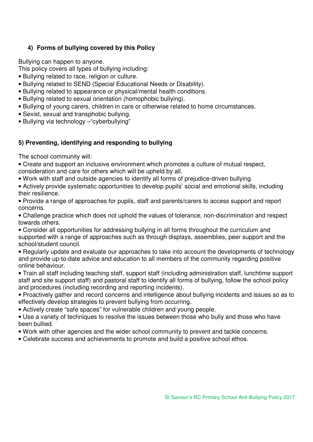#### **4) Forms of bullying covered by this Policy**

Bullying can happen to anyone.

This policy covers all types of bullying including:

- Bullying related to race, religion or culture.
- Bullying related to SEND (Special Educational Needs or Disability).
- Bullying related to appearance or physical/mental health conditions.
- Bullying related to sexual orientation (homophobic bullying).
- Bullying of young carers, children in care or otherwise related to home circumstances.
- Sexist, sexual and transphobic bullying.
- Bullying via technology –"cyberbullying"

#### **5) Preventing, identifying and responding to bullying**

The school community will:

- Create and support an inclusive environment which promotes a culture of mutual respect, consideration and care for others which will be upheld by all.
- Work with staff and outside agencies to identify all forms of prejudice-driven bullying.
- Actively provide systematic opportunities to develop pupils' social and emotional skills, including their resilience.
- Provide a range of approaches for pupils, staff and parents/carers to access support and report concerns.
- Challenge practice which does not uphold the values of tolerance, non-discrimination and respect towards others.
- Consider all opportunities for addressing bullying in all forms throughout the curriculum and supported with a range of approaches such as through displays, assemblies, peer support and the school/student council.
- Regularly update and evaluate our approaches to take into account the developments of technology and provide up-to-date advice and education to all members of the community regarding positive online behaviour.
- Train all staff including teaching staff, support staff (including administration staff, lunchtime support staff and site support staff) and pastoral staff to identify all forms of bullying, follow the school policy and procedures (including recording and reporting incidents).
- Proactively gather and record concerns and intelligence about bullying incidents and issues so as to effectively develop strategies to prevent bullying from occurring.
- Actively create "safe spaces" for vulnerable children and young people.
- Use a variety of techniques to resolve the issues between those who bully and those who have been bullied.
- Work with other agencies and the wider school community to prevent and tackle concerns.
- Celebrate success and achievements to promote and build a positive school ethos.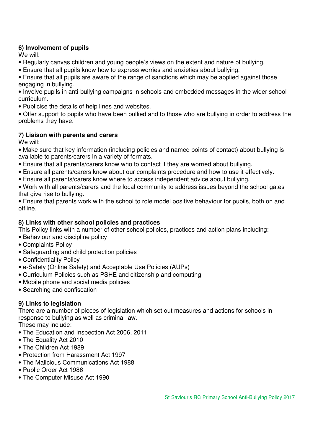#### **6) Involvement of pupils**

We will:

- Regularly canvas children and young people's views on the extent and nature of bullying.
- Ensure that all pupils know how to express worries and anxieties about bullying.

• Ensure that all pupils are aware of the range of sanctions which may be applied against those engaging in bullying.

- Involve pupils in anti-bullying campaigns in schools and embedded messages in the wider school curriculum.
- Publicise the details of help lines and websites.

• Offer support to pupils who have been bullied and to those who are bullying in order to address the problems they have.

#### **7) Liaison with parents and carers**

We will:

- Make sure that key information (including policies and named points of contact) about bullying is available to parents/carers in a variety of formats.
- Ensure that all parents/carers know who to contact if they are worried about bullying.
- Ensure all parents/carers know about our complaints procedure and how to use it effectively.
- Ensure all parents/carers know where to access independent advice about bullying.
- Work with all parents/carers and the local community to address issues beyond the school gates that give rise to bullying.
- Ensure that parents work with the school to role model positive behaviour for pupils, both on and offline.

#### **8) Links with other school policies and practices**

This Policy links with a number of other school policies, practices and action plans including:

- Behaviour and discipline policy
- Complaints Policy
- Safeguarding and child protection policies
- Confidentiality Policy
- e-Safety (Online Safety) and Acceptable Use Policies (AUPs)
- Curriculum Policies such as PSHE and citizenship and computing
- Mobile phone and social media policies
- Searching and confiscation

#### **9) Links to legislation**

There are a number of pieces of legislation which set out measures and actions for schools in response to bullying as well as criminal law.

These may include:

- The Education and Inspection Act 2006, 2011
- The Equality Act 2010
- The Children Act 1989
- Protection from Harassment Act 1997
- The Malicious Communications Act 1988
- Public Order Act 1986
- The Computer Misuse Act 1990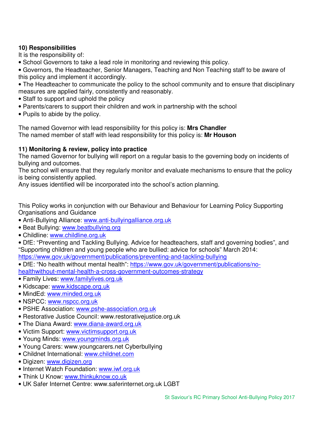#### **10) Responsibilities**

It is the responsibility of:

- School Governors to take a lead role in monitoring and reviewing this policy.
- Governors, the Headteacher, Senior Managers, Teaching and Non Teaching staff to be aware of this policy and implement it accordingly.
- The Headteacher to communicate the policy to the school community and to ensure that disciplinary measures are applied fairly, consistently and reasonably.
- Staff to support and uphold the policy
- Parents/carers to support their children and work in partnership with the school
- Pupils to abide by the policy.

The named Governor with lead responsibility for this policy is: **Mrs Chandler** The named member of staff with lead responsibility for this policy is: **Mr Houson**

#### **11) Monitoring & review, policy into practice**

The named Governor for bullying will report on a regular basis to the governing body on incidents of bullying and outcomes.

The school will ensure that they regularly monitor and evaluate mechanisms to ensure that the policy is being consistently applied.

Any issues identified will be incorporated into the school's action planning.

This Policy works in conjunction with our Behaviour and Behaviour for Learning Policy Supporting Organisations and Guidance

- Anti-Bullying Alliance: www.anti-bullyingalliance.org.uk
- Beat Bullying: www.beatbullying.org
- Childline: www.childline.org.uk

• DfE: "Preventing and Tackling Bullying. Advice for headteachers, staff and governing bodies", and "Supporting children and young people who are bullied: advice for schools" March 2014: https://www.gov.uk/government/publications/preventing-and-tackling-bullying

• DfE: "No health without mental health": https://www.gov.uk/government/publications/nohealthwithout-mental-health-a-cross-government-outcomes-strategy

- Family Lives: www.familylives.org.uk
- Kidscape: www.kidscape.org.uk
- MindEd: www.minded.org.uk
- NSPCC: www.nspcc.org.uk
- PSHE Association: www.pshe-association.org.uk
- Restorative Justice Council: www.restorativejustice.org.uk
- The Diana Award: www.diana-award.org.uk
- Victim Support: www.victimsupport.org.uk
- Young Minds: www.youngminds.org.uk
- Young Carers: www.youngcarers.net Cyberbullying
- Childnet International: www.childnet.com
- Digizen: www.digizen.org
- Internet Watch Foundation: www.iwf.org.uk
- Think U Know: www.thinkuknow.co.uk
- UK Safer Internet Centre: www.saferinternet.org.uk LGBT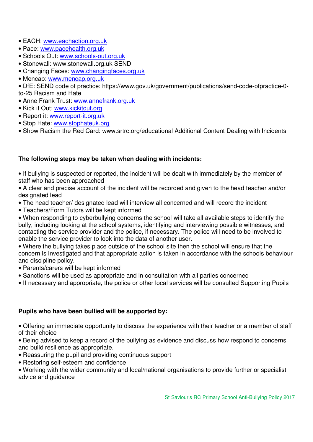- EACH: www.eachaction.org.uk
- Pace: www.pacehealth.org.uk
- Schools Out: www.schools-out.org.uk
- Stonewall: www.stonewall.org.uk SEND
- Changing Faces: www.changingfaces.org.uk
- Mencap: www.mencap.org.uk
- DfE: SEND code of practice: https://www.gov.uk/government/publications/send-code-ofpractice-0 to-25 Racism and Hate
- Anne Frank Trust: www.annefrank.org.uk
- Kick it Out: www.kickitout.org
- Report it: www.report-it.org.uk
- Stop Hate: www.stophateuk.org
- Show Racism the Red Card: www.srtrc.org/educational Additional Content Dealing with Incidents

#### **The following steps may be taken when dealing with incidents:**

• If bullying is suspected or reported, the incident will be dealt with immediately by the member of staff who has been approached

• A clear and precise account of the incident will be recorded and given to the head teacher and/or designated lead

- The head teacher/ designated lead will interview all concerned and will record the incident
- Teachers/Form Tutors will be kept informed

• When responding to cyberbullying concerns the school will take all available steps to identify the bully, including looking at the school systems, identifying and interviewing possible witnesses, and contacting the service provider and the police, if necessary. The police will need to be involved to enable the service provider to look into the data of another user.

• Where the bullying takes place outside of the school site then the school will ensure that the concern is investigated and that appropriate action is taken in accordance with the schools behaviour and discipline policy.

- Parents/carers will be kept informed
- Sanctions will be used as appropriate and in consultation with all parties concerned
- If necessary and appropriate, the police or other local services will be consulted Supporting Pupils

#### **Pupils who have been bullied will be supported by:**

• Offering an immediate opportunity to discuss the experience with their teacher or a member of staff of their choice

- Being advised to keep a record of the bullying as evidence and discuss how respond to concerns and build resilience as appropriate.
- Reassuring the pupil and providing continuous support
- Restoring self-esteem and confidence

• Working with the wider community and local/national organisations to provide further or specialist advice and guidance